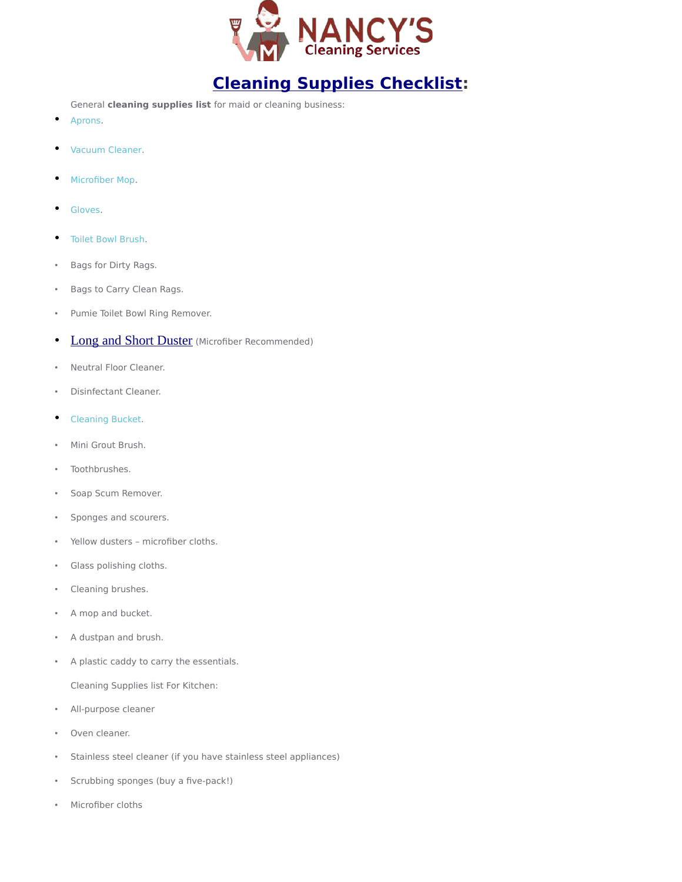

## **[Cleaning Supplies Checklist:](https://nancyshousekeepingservice.com/cleaning-supplies-list/)**

General **cleaning supplies list** for maid or cleaning business:

- [Aprons.](https://amzn.to/2Zo1iaQ)
- [Vacuum Cleaner.](https://amzn.to/2ZgAVbD)
- [Microfiber Mop.](https://amzn.to/2HtSb29)
- [Gloves.](https://amzn.to/2NxSwoh)
- [Toilet Bowl Brush.](https://amzn.to/2HtUT7P)
- Bags for Dirty Rags.
- Bags to Carry Clean Rags.
- Pumie Toilet Bowl Ring Remover.
- [Long and Short Duster](https://www.amazon.com/M-jump-Retractable-Long-Reach-Microfiber-Telescoping/dp/B06XPFMD34/ref=sr_1_4?keywords=Microfiber+Mini+Telescoping+Duster&qid=1563404792&s=gateway&sr=8-4) (Microfiber Recommended)
- Neutral Floor Cleaner.
- Disinfectant Cleaner.
- [Cleaning Bucket.](https://amzn.to/2HtKid1)
- Mini Grout Brush.
- Toothbrushes.
- Soap Scum Remover.
- Sponges and scourers.
- Yellow dusters microfiber cloths.
- Glass polishing cloths.
- Cleaning brushes.
- A mop and bucket.
- A dustpan and brush.
- A plastic caddy to carry the essentials.

Cleaning Supplies list For Kitchen:

- All-purpose cleaner
- Oven cleaner.
- Stainless steel cleaner (if you have stainless steel appliances)
- Scrubbing sponges (buy a five-pack!)
- Microfiber cloths